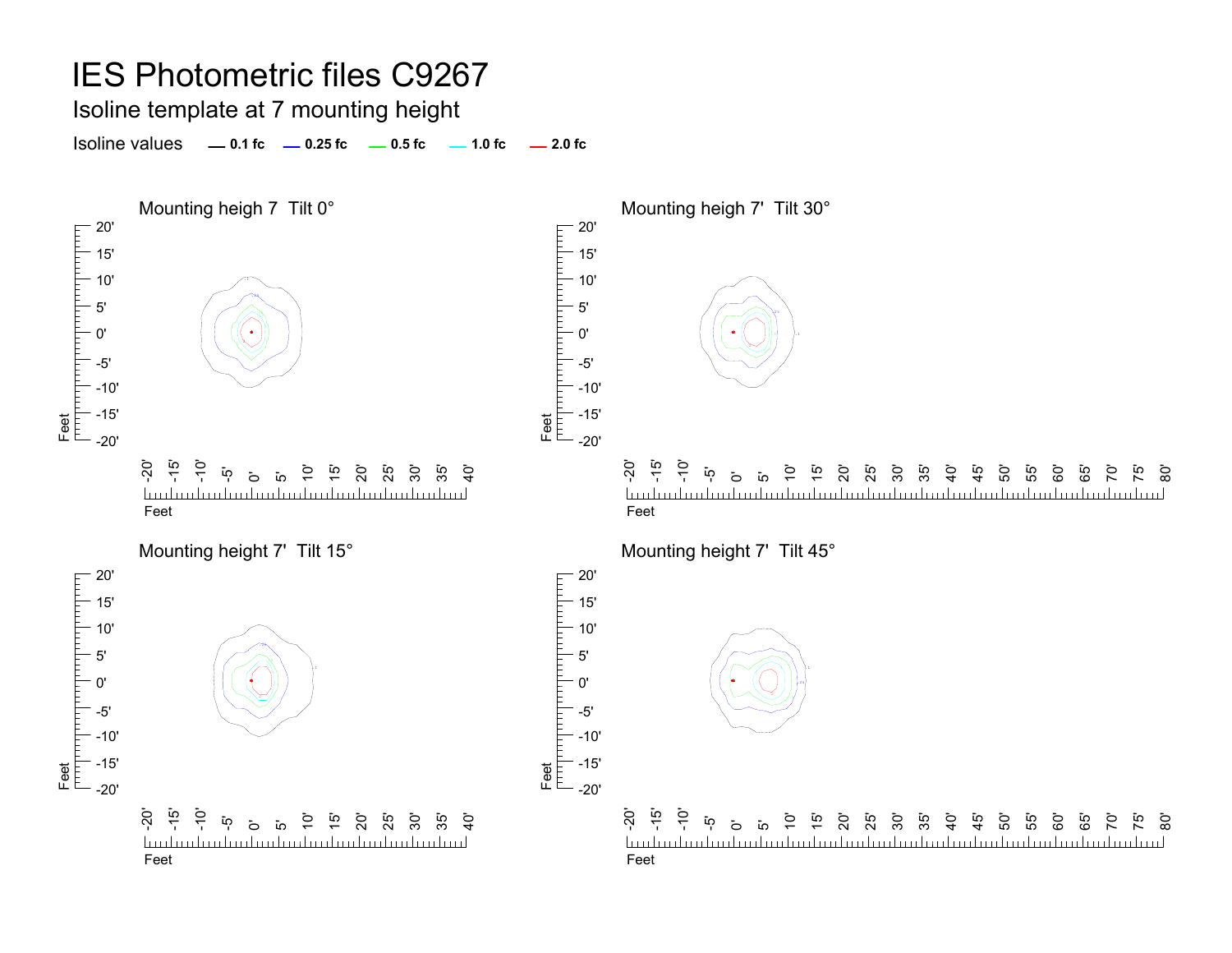#### Isoline template at 7 mounting height

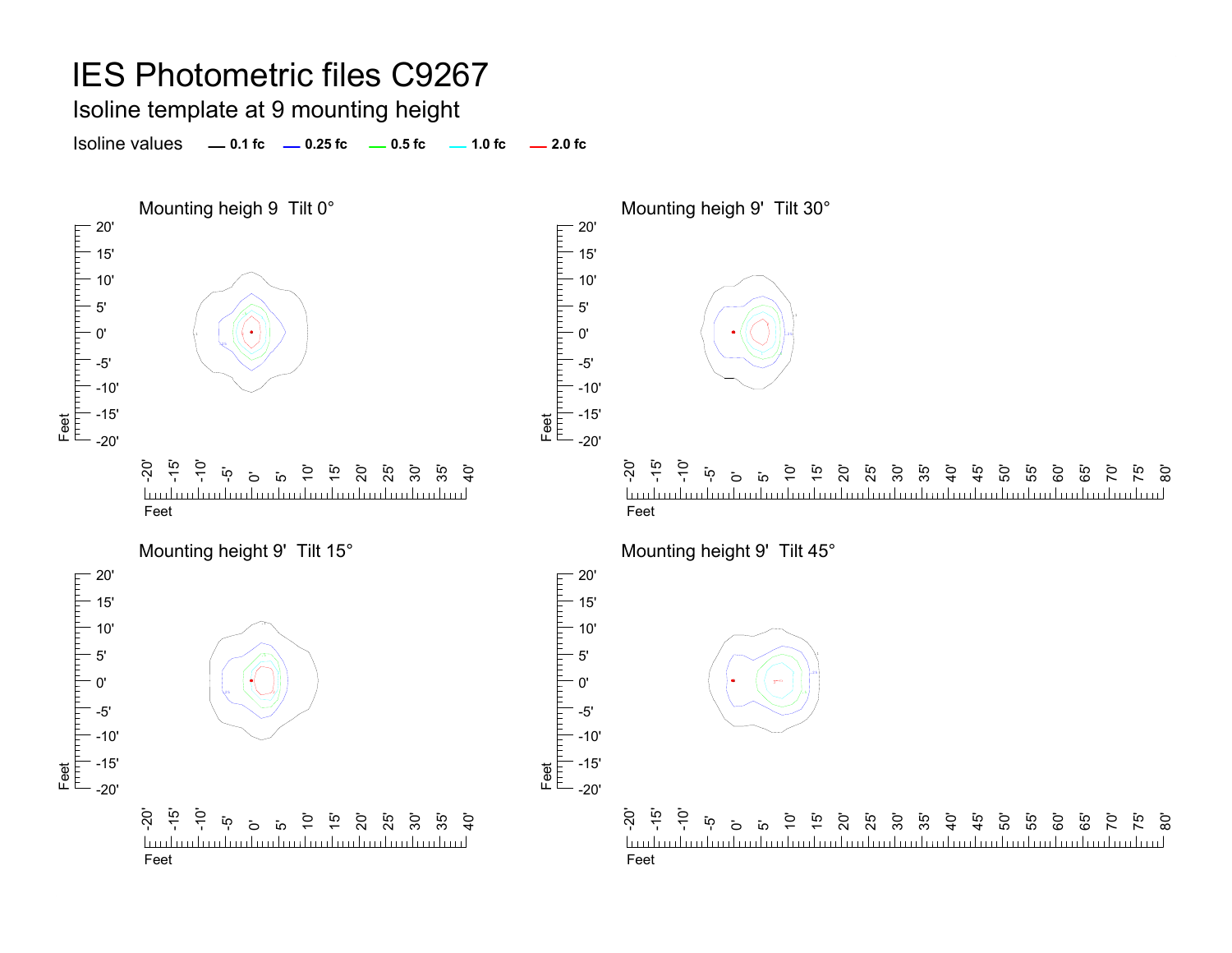#### Isoline template at 9 mounting height

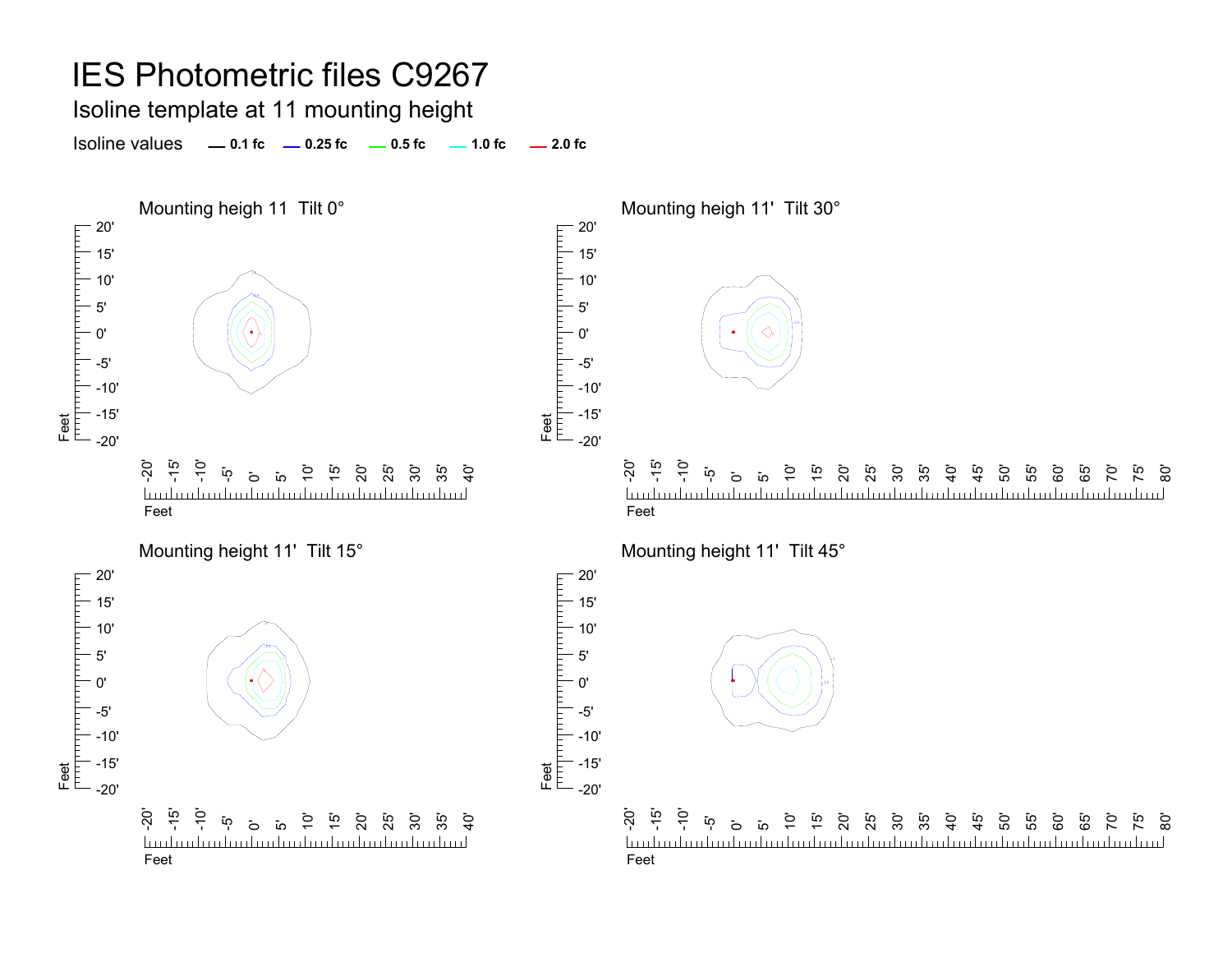Isoline template at 11 mounting height

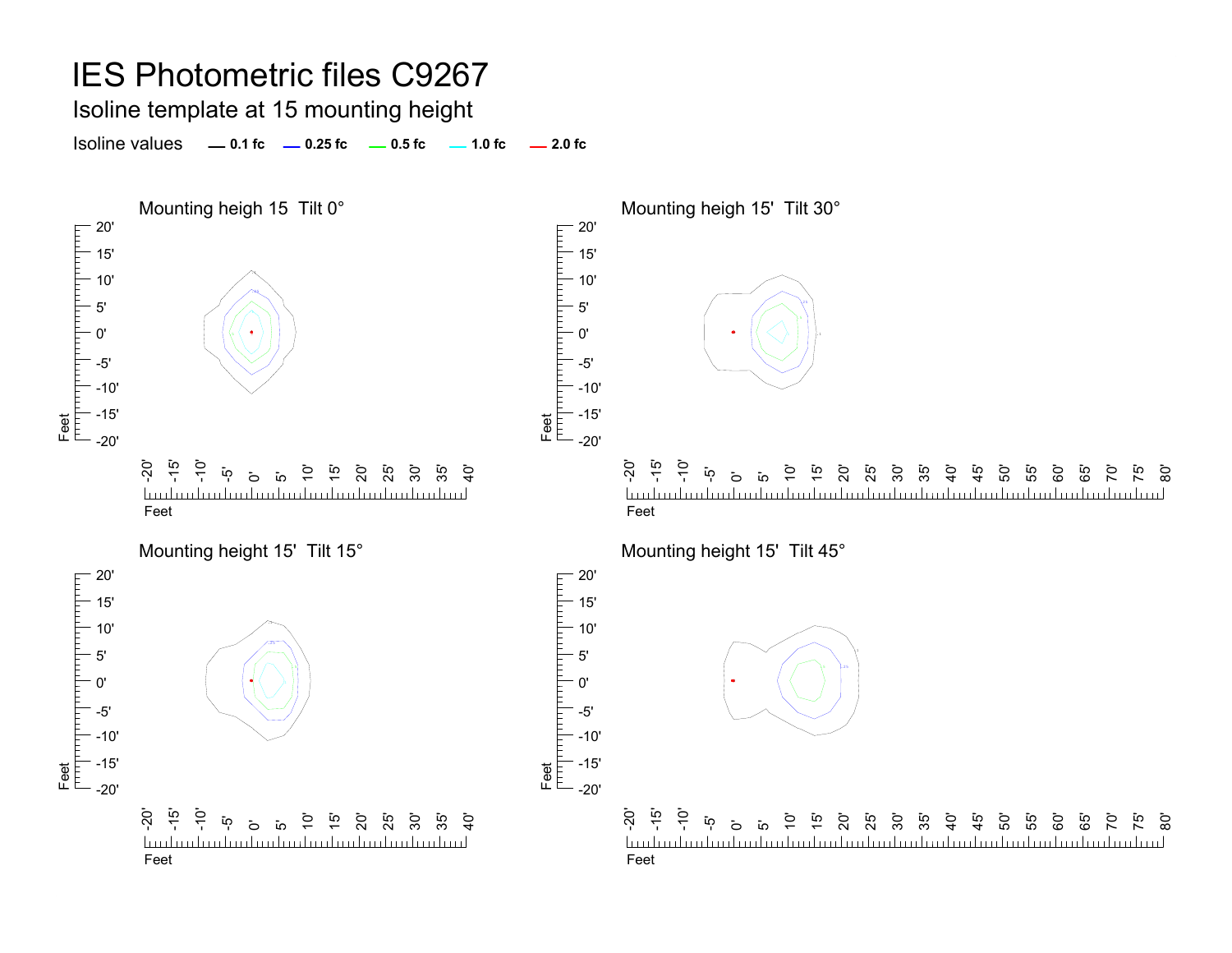#### Isoline template at 15 mounting height

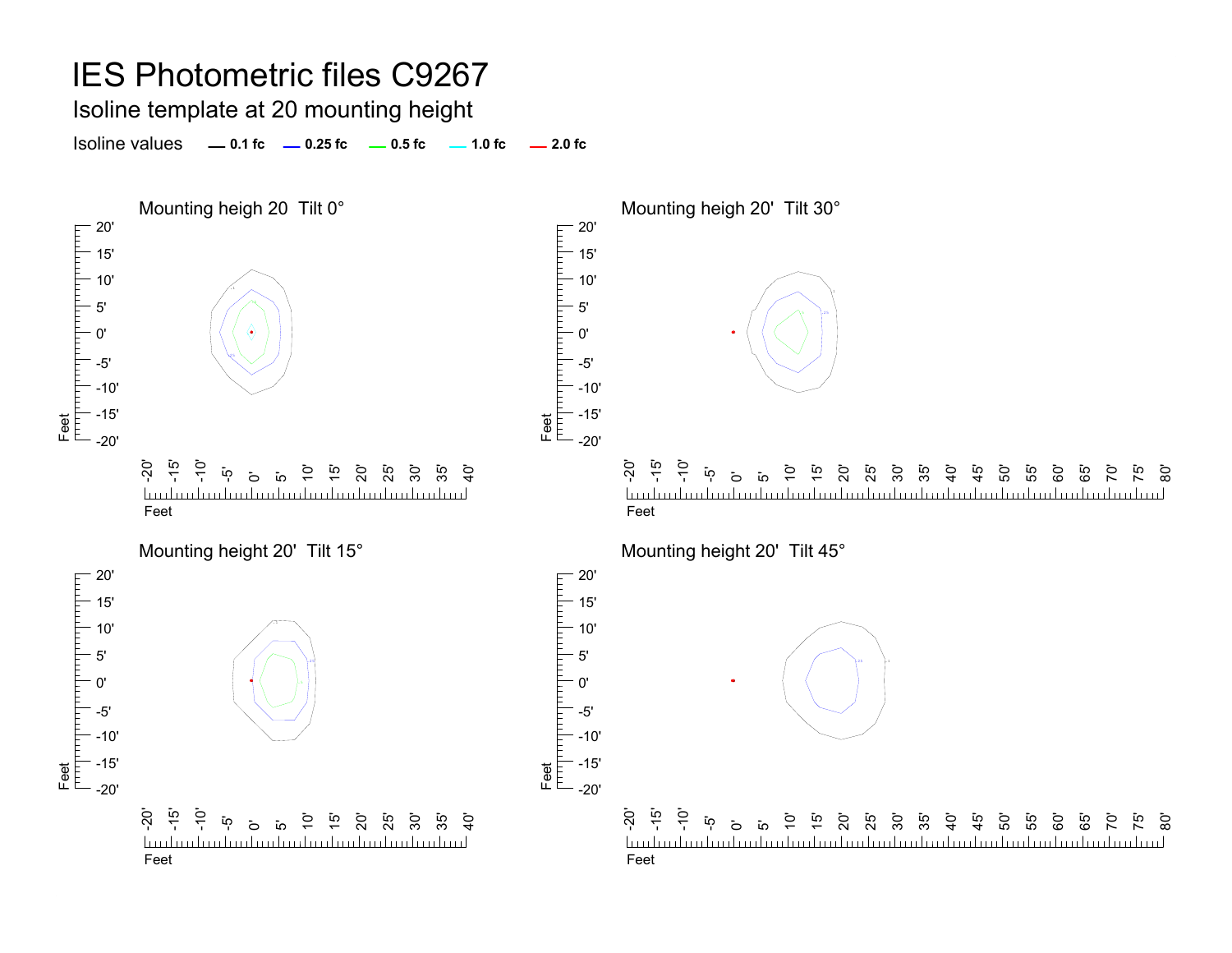### Isoline template at 20 mounting height

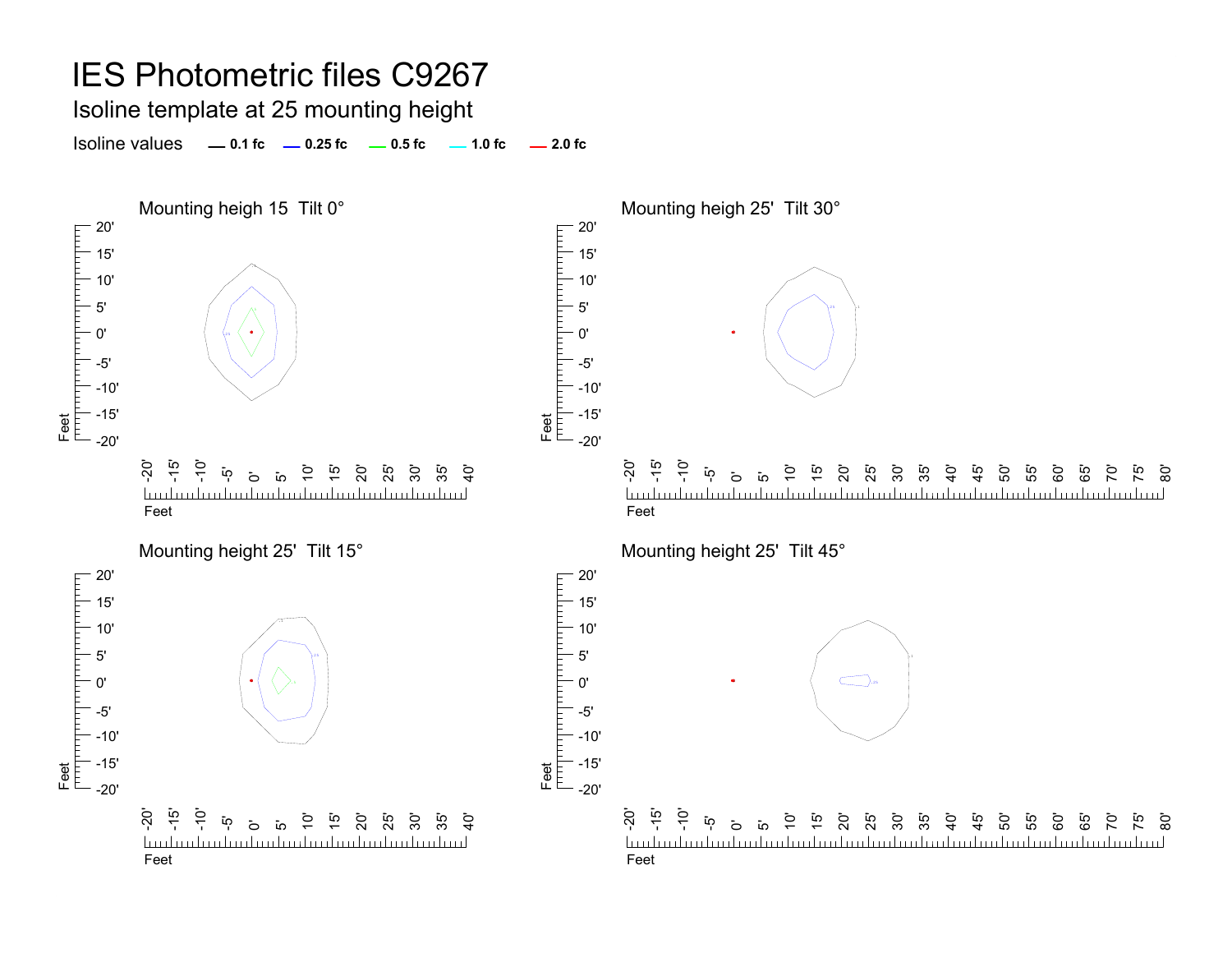Isoline template at 25 mounting height

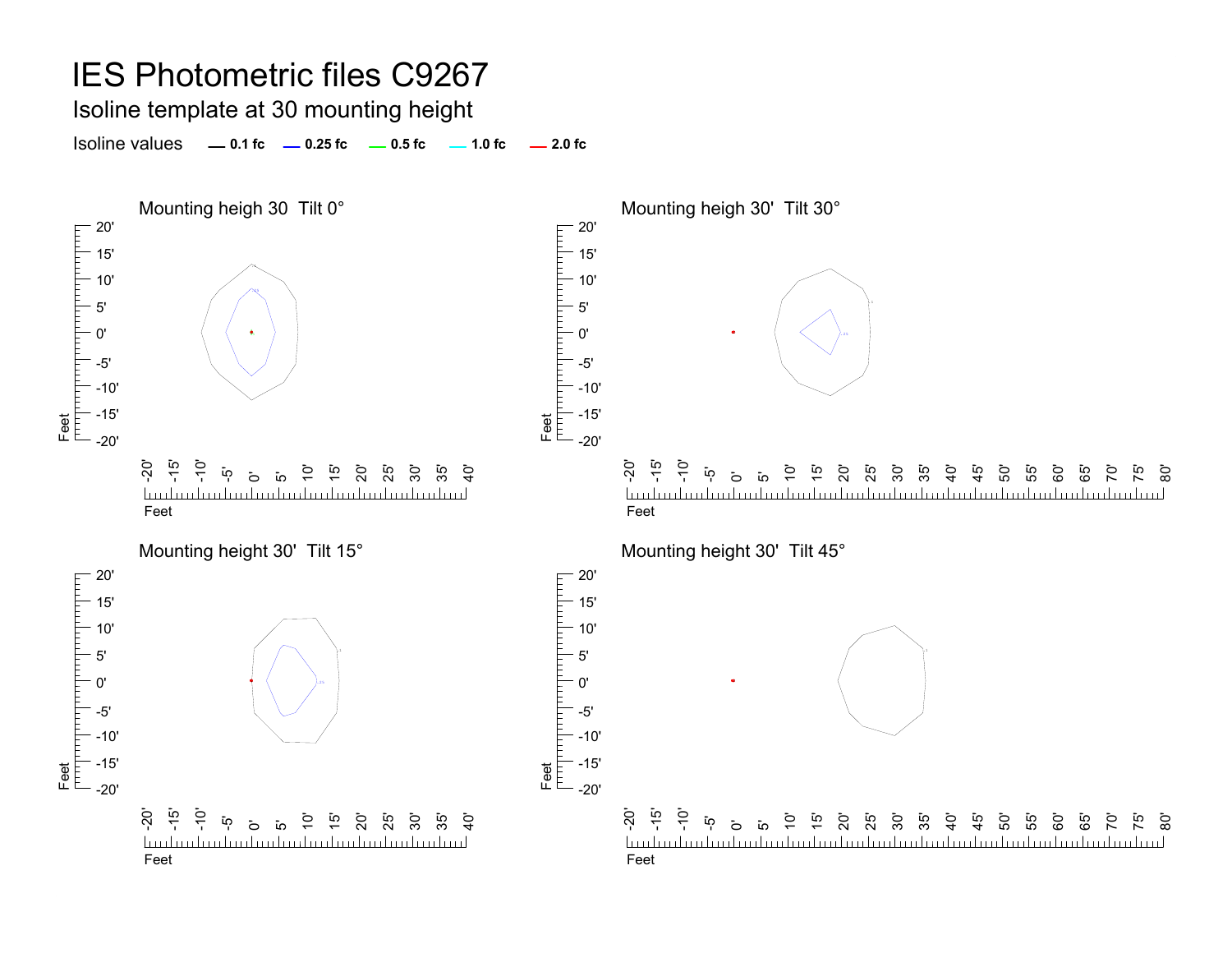Isoline template at 30 mounting height